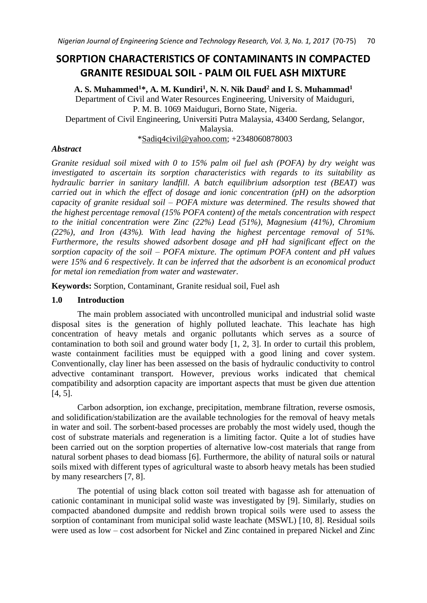# **SORPTION CHARACTERISTICS OF CONTAMINANTS IN COMPACTED GRANITE RESIDUAL SOIL - PALM OIL FUEL ASH MIXTURE**

**A. S. Muhammed<sup>1</sup>\*, A. M. Kundiri<sup>1</sup> , N. N. Nik Daud<sup>2</sup> and I. S. Muhammad<sup>1</sup>** Department of Civil and Water Resources Engineering, University of Maiduguri, P. M. B. 1069 Maiduguri, Borno State, Nigeria. Department of Civil Engineering, Universiti Putra Malaysia, 43400 Serdang, Selangor, Malaysia.

[\\*Sadiq4civil@yahoo.com;](mailto:Sadiq4civil@yahoo.com) +2348060878003

## *Abstract*

*Granite residual soil mixed with 0 to 15% palm oil fuel ash (POFA) by dry weight was investigated to ascertain its sorption characteristics with regards to its suitability as hydraulic barrier in sanitary landfill. A batch equilibrium adsorption test (BEAT) was carried out in which the effect of dosage and ionic concentration (pH) on the adsorption capacity of granite residual soil – POFA mixture was determined. The results showed that the highest percentage removal (15% POFA content) of the metals concentration with respect to the initial concentration were Zinc (22%) Lead (51%), Magnesium (41%), Chromium (22%), and Iron (43%). With lead having the highest percentage removal of 51%. Furthermore, the results showed adsorbent dosage and pH had significant effect on the sorption capacity of the soil – POFA mixture. The optimum POFA content and pH values were 15% and 6 respectively. It can be inferred that the adsorbent is an economical product for metal ion remediation from water and wastewater.* 

**Keywords:** Sorption, Contaminant, Granite residual soil, Fuel ash

# **1.0 Introduction**

The main problem associated with uncontrolled municipal and industrial solid waste disposal sites is the generation of highly polluted leachate. This leachate has high concentration of heavy metals and organic pollutants which serves as a source of contamination to both soil and ground water body [1, 2, 3]. In order to curtail this problem, waste containment facilities must be equipped with a good lining and cover system. Conventionally, clay liner has been assessed on the basis of hydraulic conductivity to control advective contaminant transport. However, previous works indicated that chemical compatibility and adsorption capacity are important aspects that must be given due attention [4, 5].

Carbon adsorption, ion exchange, precipitation, membrane filtration, reverse osmosis, and solidification/stabilization are the available technologies for the removal of heavy metals in water and soil. The sorbent-based processes are probably the most widely used, though the cost of substrate materials and regeneration is a limiting factor. Quite a lot of studies have been carried out on the sorption properties of alternative low-cost materials that range from natural sorbent phases to dead biomass [6]. Furthermore, the ability of natural soils or natural soils mixed with different types of agricultural waste to absorb heavy metals has been studied by many researchers [7, 8].

The potential of using black cotton soil treated with bagasse ash for attenuation of cationic contaminant in municipal solid waste was investigated by [9]. Similarly, studies on compacted abandoned dumpsite and reddish brown tropical soils were used to assess the sorption of contaminant from municipal solid waste leachate (MSWL) [10, 8]. Residual soils were used as low – cost adsorbent for Nickel and Zinc contained in prepared Nickel and Zinc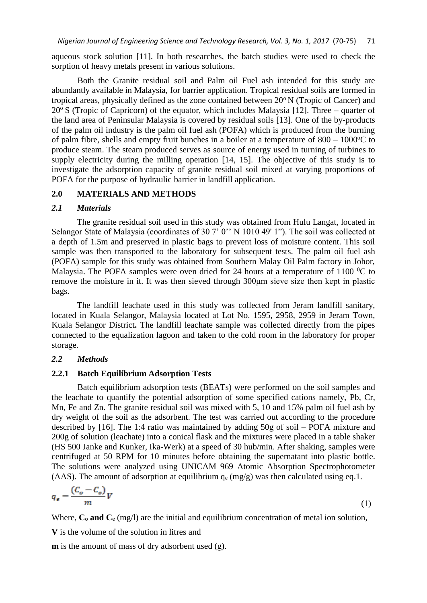aqueous stock solution [11]. In both researches, the batch studies were used to check the sorption of heavy metals present in various solutions.

Both the Granite residual soil and Palm oil Fuel ash intended for this study are abundantly available in Malaysia, for barrier application. Tropical residual soils are formed in tropical areas, physically defined as the zone contained between  $20^{\circ}$  N (Tropic of Cancer) and  $20^{\circ}$  S (Tropic of Capricorn) of the equator, which includes Malaysia [12]. Three – quarter of the land area of Peninsular Malaysia is covered by residual soils [13]. One of the by-products of the palm oil industry is the palm oil fuel ash (POFA) which is produced from the burning of palm fibre, shells and empty fruit bunches in a boiler at a temperature of  $800 - 1000^{\circ}C$  to produce steam. The steam produced serves as source of energy used in turning of turbines to supply electricity during the milling operation [14, 15]. The objective of this study is to investigate the adsorption capacity of granite residual soil mixed at varying proportions of POFA for the purpose of hydraulic barrier in landfill application.

## **2.0 MATERIALS AND METHODS**

#### *2.1 Materials*

The granite residual soil used in this study was obtained from Hulu Langat, located in Selangor State of Malaysia (coordinates of 30 7' 0" N 1010 49' 1"). The soil was collected at a depth of 1.5m and preserved in plastic bags to prevent loss of moisture content. This soil sample was then transported to the laboratory for subsequent tests. The palm oil fuel ash (POFA) sample for this study was obtained from Southern Malay Oil Palm factory in Johor, Malaysia. The POFA samples were oven dried for 24 hours at a temperature of 1100  $^0C$  to remove the moisture in it. It was then sieved through 300μm sieve size then kept in plastic bags.

The landfill leachate used in this study was collected from Jeram landfill sanitary, located in Kuala Selangor, Malaysia located at Lot No. 1595, 2958, 2959 in Jeram Town, Kuala Selangor District**.** The landfill leachate sample was collected directly from the pipes connected to the equalization lagoon and taken to the cold room in the laboratory for proper storage.

## *2.2 Methods*

#### **2.2.1 Batch Equilibrium Adsorption Tests**

Batch equilibrium adsorption tests (BEATs) were performed on the soil samples and the leachate to quantify the potential adsorption of some specified cations namely, Pb, Cr, Mn, Fe and Zn. The granite residual soil was mixed with 5, 10 and 15% palm oil fuel ash by dry weight of the soil as the adsorbent. The test was carried out according to the procedure described by [16]. The 1:4 ratio was maintained by adding 50g of soil – POFA mixture and 200g of solution (leachate) into a conical flask and the mixtures were placed in a table shaker (HS 500 Janke and Kunker, Ika-Werk) at a speed of 30 hub/min. After shaking, samples were centrifuged at 50 RPM for 10 minutes before obtaining the supernatant into plastic bottle. The solutions were analyzed using UNICAM 969 Atomic Absorption Spectrophotometer (AAS). The amount of adsorption at equilibrium  $q_e$  (mg/g) was then calculated using eq.1.

$$
q_e = \frac{(C_o - C_e)}{m}V\tag{1}
$$

Where,  $C_0$  and  $C_0$  (mg/l) are the initial and equilibrium concentration of metal ion solution,

**V** is the volume of the solution in litres and

**m** is the amount of mass of dry adsorbent used (g).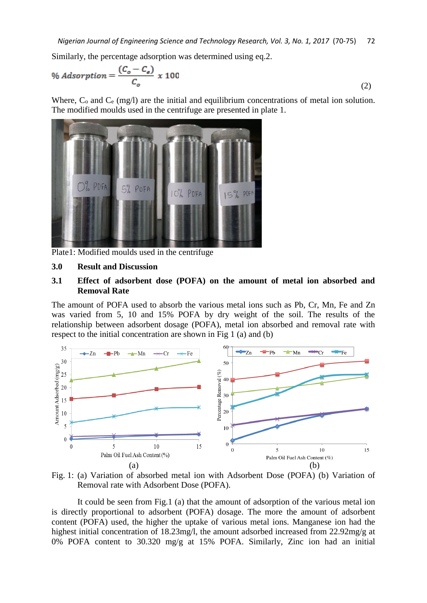Similarly, the percentage adsorption was determined using eq.2.

$$
\% \text{Asorption} = \frac{(C_o - C_e)}{C_o} \times 100 \tag{2}
$$

Where,  $C_0$  and  $C_e$  (mg/l) are the initial and equilibrium concentrations of metal ion solution. The modified moulds used in the centrifuge are presented in plate 1.



Plate1: Modified moulds used in the centrifuge

#### **3.0 Result and Discussion**

## **3.1 Effect of adsorbent dose (POFA) on the amount of metal ion absorbed and Removal Rate**

The amount of POFA used to absorb the various metal ions such as Pb, Cr, Mn, Fe and Zn was varied from 5, 10 and 15% POFA by dry weight of the soil. The results of the relationship between adsorbent dosage (POFA), metal ion absorbed and removal rate with respect to the initial concentration are shown in Fig 1 (a) and (b)



Fig. 1: (a) Variation of absorbed metal ion with Adsorbent Dose (POFA) (b) Variation of Removal rate with Adsorbent Dose (POFA).

It could be seen from Fig.1 (a) that the amount of adsorption of the various metal ion is directly proportional to adsorbent (POFA) dosage. The more the amount of adsorbent content (POFA) used, the higher the uptake of various metal ions. Manganese ion had the highest initial concentration of 18.23mg/l, the amount adsorbed increased from 22.92mg/g at 0% POFA content to 30.320 mg/g at 15% POFA. Similarly, Zinc ion had an initial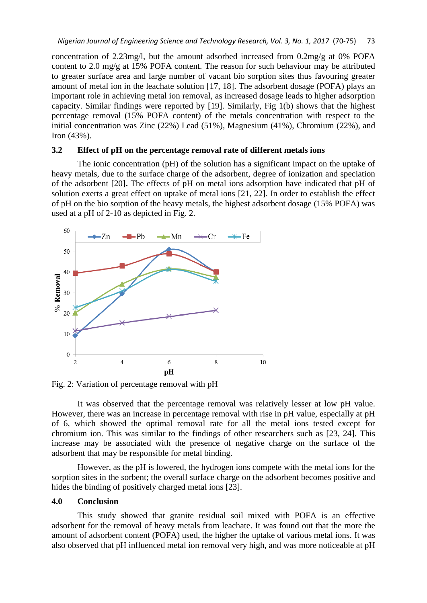concentration of 2.23mg/l, but the amount adsorbed increased from 0.2mg/g at 0% POFA content to 2.0 mg/g at 15% POFA content. The reason for such behaviour may be attributed to greater surface area and large number of vacant bio sorption sites thus favouring greater amount of metal ion in the leachate solution [17, 18]. The adsorbent dosage (POFA) plays an important role in achieving metal ion removal, as increased dosage leads to higher adsorption capacity. Similar findings were reported by [19]. Similarly, Fig 1(b) shows that the highest percentage removal (15% POFA content) of the metals concentration with respect to the initial concentration was Zinc (22%) Lead (51%), Magnesium (41%), Chromium (22%), and Iron (43%).

## **3.2 Effect of pH on the percentage removal rate of different metals ions**

The ionic concentration (pH) of the solution has a significant impact on the uptake of heavy metals, due to the surface charge of the adsorbent, degree of ionization and speciation of the adsorbent [20]**.** The effects of pH on metal ions adsorption have indicated that pH of solution exerts a great effect on uptake of metal ions [21, 22]. In order to establish the effect of pH on the bio sorption of the heavy metals, the highest adsorbent dosage (15% POFA) was used at a pH of 2-10 as depicted in Fig. 2.



Fig. 2: Variation of percentage removal with pH

It was observed that the percentage removal was relatively lesser at low pH value. However, there was an increase in percentage removal with rise in pH value, especially at pH of 6, which showed the optimal removal rate for all the metal ions tested except for chromium ion. This was similar to the findings of other researchers such as [23, 24]. This increase may be associated with the presence of negative charge on the surface of the adsorbent that may be responsible for metal binding.

However, as the pH is lowered, the hydrogen ions compete with the metal ions for the sorption sites in the sorbent; the overall surface charge on the adsorbent becomes positive and hides the binding of positively charged metal ions [23].

## **4.0 Conclusion**

This study showed that granite residual soil mixed with POFA is an effective adsorbent for the removal of heavy metals from leachate. It was found out that the more the amount of adsorbent content (POFA) used, the higher the uptake of various metal ions. It was also observed that pH influenced metal ion removal very high, and was more noticeable at pH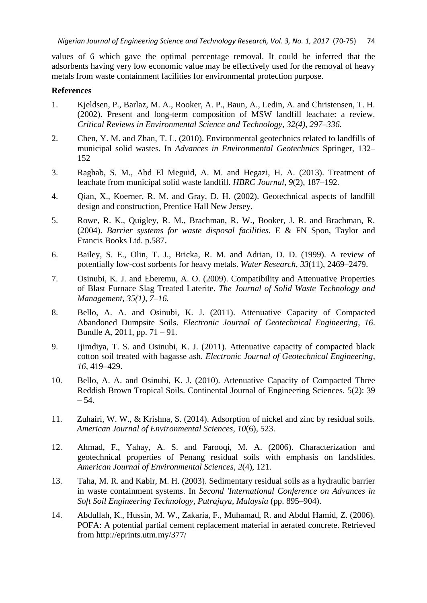values of 6 which gave the optimal percentage removal. It could be inferred that the adsorbents having very low economic value may be effectively used for the removal of heavy metals from waste containment facilities for environmental protection purpose.

## **References**

- 1. Kjeldsen, P., Barlaz, M. A., Rooker, A. P., Baun, A., Ledin, A. and Christensen, T. H. (2002). Present and long-term composition of MSW landfill leachate: a review. *Critical Reviews in Environmental Science and Technology*, *32(4), 297–336.*
- 2. Chen, Y. M. and Zhan, T. L. (2010). Environmental geotechnics related to landfills of municipal solid wastes. In *Advances in Environmental Geotechnics* Springer, 132– 152
- 3. Raghab, S. M., Abd El Meguid, A. M. and Hegazi, H. A. (2013). Treatment of leachate from municipal solid waste landfill. *HBRC Journal*, *9*(2), 187–192.
- 4. Qian, X., Koerner, R. M. and Gray, D. H. (2002). Geotechnical aspects of landfill design and construction, Prentice Hall New Jersey.
- 5. Rowe, R. K., Quigley, R. M., Brachman, R. W., Booker, J. R. and Brachman, R. (2004). *Barrier systems for waste disposal facilities.* E & FN Spon, Taylor and Francis Books Ltd. p.587**.**
- 6. Bailey, S. E., Olin, T. J., Bricka, R. M. and Adrian, D. D. (1999). A review of potentially low-cost sorbents for heavy metals. *Water Research*, *33*(11), 2469–2479.
- 7. Osinubi, K. J. and Eberemu, A. O. (2009). Compatibility and Attenuative Properties of Blast Furnace Slag Treated Laterite. *The Journal of Solid Waste Technology and Management, 35(1), 7–16.*
- 8. Bello, A. A. and Osinubi, K. J. (2011). Attenuative Capacity of Compacted Abandoned Dumpsite Soils. *Electronic Journal of Geotechnical Engineering*, *16*. Bundle A, 2011, pp. 71 – 91.
- 9. Ijimdiya, T. S. and Osinubi, K. J. (2011). Attenuative capacity of compacted black cotton soil treated with bagasse ash. *Electronic Journal of Geotechnical Engineering*, *16*, 419–429.
- 10. Bello, A. A. and Osinubi, K. J. (2010). Attenuative Capacity of Compacted Three Reddish Brown Tropical Soils. Continental Journal of Engineering Sciences. 5(2): 39 – 54.
- 11. Zuhairi, W. W., & Krishna, S. (2014). Adsorption of nickel and zinc by residual soils. *American Journal of Environmental Sciences*, *10*(6), 523.
- 12. Ahmad, F., Yahay, A. S. and Farooqi, M. A. (2006). Characterization and geotechnical properties of Penang residual soils with emphasis on landslides. *American Journal of Environmental Sciences*, *2*(4), 121.
- 13. Taha, M. R. and Kabir, M. H. (2003). Sedimentary residual soils as a hydraulic barrier in waste containment systems. In *Second 'International Conference on Advances in Soft Soil Engineering Technology, Putrajaya, Malaysia* (pp. 895–904).
- 14. Abdullah, K., Hussin, M. W., Zakaria, F., Muhamad, R. and Abdul Hamid, Z. (2006). POFA: A potential partial cement replacement material in aerated concrete. Retrieved from http://eprints.utm.my/377/